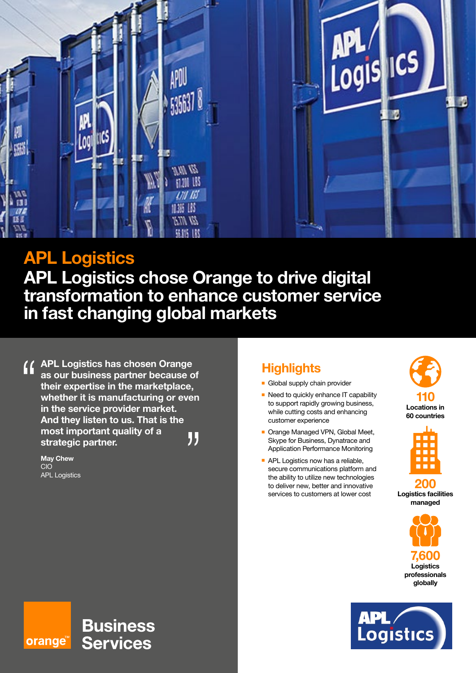

# **APL Logistics**

**APL Logistics chose Orange to drive digital transformation to enhance customer service in fast changing global markets**

**APL Logistics has chosen Orange as our business partner because of their expertise in the marketplace, whether it is manufacturing or even in the service provider market. And they listen to us. That is the most important quality of a**  " **strategic partner.**

**Business** 

**Services** 

**May Chew** CIO APL Logistics

orange<sup>\*\*</sup>

## **Highlights**

- **Global supply chain provider**
- $\blacksquare$  Need to quickly enhance IT capability to support rapidly growing business, while cutting costs and enhancing customer experience
- **n** Orange Managed VPN, Global Meet, Skype for Business, Dynatrace and Application Performance Monitoring
- **APL Logistics now has a reliable,** secure communications platform and the ability to utilize new technologies to deliver new, better and innovative services to customers at lower cost





**200 Logistics facilities managed**